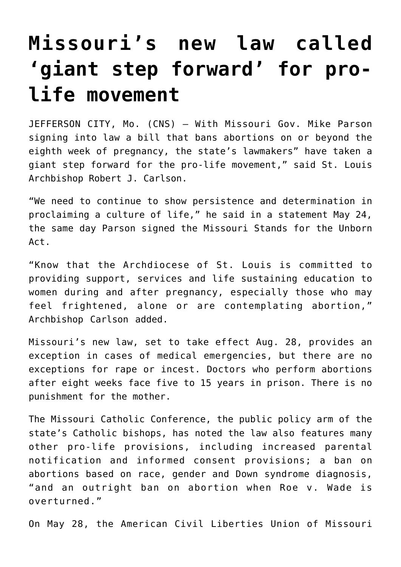## **[Missouri's new law called](https://www.osvnews.com/2019/05/29/missouris-new-law-called-giant-step-forward-for-pro-life-movement/) ['giant step forward' for pro](https://www.osvnews.com/2019/05/29/missouris-new-law-called-giant-step-forward-for-pro-life-movement/)[life movement](https://www.osvnews.com/2019/05/29/missouris-new-law-called-giant-step-forward-for-pro-life-movement/)**

JEFFERSON CITY, Mo. (CNS) — With Missouri Gov. Mike Parson signing into law a bill that bans abortions on or beyond the eighth week of pregnancy, the state's lawmakers" have taken a giant step forward for the pro-life movement," said St. Louis Archbishop Robert J. Carlson.

"We need to continue to show persistence and determination in proclaiming a culture of life," he said in a statement May 24, the same day Parson signed the Missouri Stands for the Unborn Act.

"Know that the Archdiocese of St. Louis is committed to providing support, services and life sustaining education to women during and after pregnancy, especially those who may feel frightened, alone or are contemplating abortion," Archbishop Carlson added.

Missouri's new law, set to take effect Aug. 28, provides an exception in cases of medical emergencies, but there are no exceptions for rape or incest. Doctors who perform abortions after eight weeks face five to 15 years in prison. There is no punishment for the mother.

The Missouri Catholic Conference, the public policy arm of the state's Catholic bishops, has noted the law also features many other pro-life provisions, including increased parental notification and informed consent provisions; a ban on abortions based on race, gender and Down syndrome diagnosis, "and an outright ban on abortion when Roe v. Wade is overturned."

On May 28, the American Civil Liberties Union of Missouri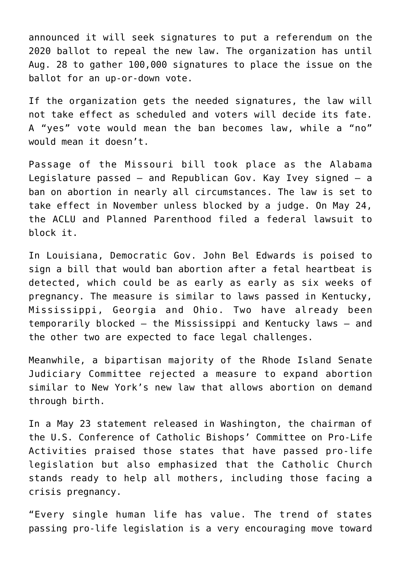announced it will seek signatures to put a referendum on the 2020 ballot to repeal the new law. The organization has until Aug. 28 to gather 100,000 signatures to place the issue on the ballot for an up-or-down vote.

If the organization gets the needed signatures, the law will not take effect as scheduled and voters will decide its fate. A "yes" vote would mean the ban becomes law, while a "no" would mean it doesn't.

Passage of the Missouri bill took place as the Alabama Legislature passed — and Republican Gov. Kay Ivey signed — a ban on abortion in nearly all circumstances. The law is set to take effect in November unless blocked by a judge. On May 24, the ACLU and Planned Parenthood filed a federal lawsuit to block it.

In Louisiana, Democratic Gov. John Bel Edwards is poised to sign a bill that would ban abortion after a fetal heartbeat is detected, which could be as early as early as six weeks of pregnancy. The measure is similar to laws passed in Kentucky, Mississippi, Georgia and Ohio. Two have already been temporarily blocked — the Mississippi and Kentucky laws — and the other two are expected to face legal challenges.

Meanwhile, a bipartisan majority of the Rhode Island Senate Judiciary Committee rejected a measure to expand abortion similar to New York's new law that allows abortion on demand through birth.

In a May 23 statement released in Washington, the chairman of the U.S. Conference of Catholic Bishops' Committee on Pro-Life Activities praised those states that have passed pro-life legislation but also emphasized that the Catholic Church stands ready to help all mothers, including those facing a crisis pregnancy.

"Every single human life has value. The trend of states passing pro-life legislation is a very encouraging move toward